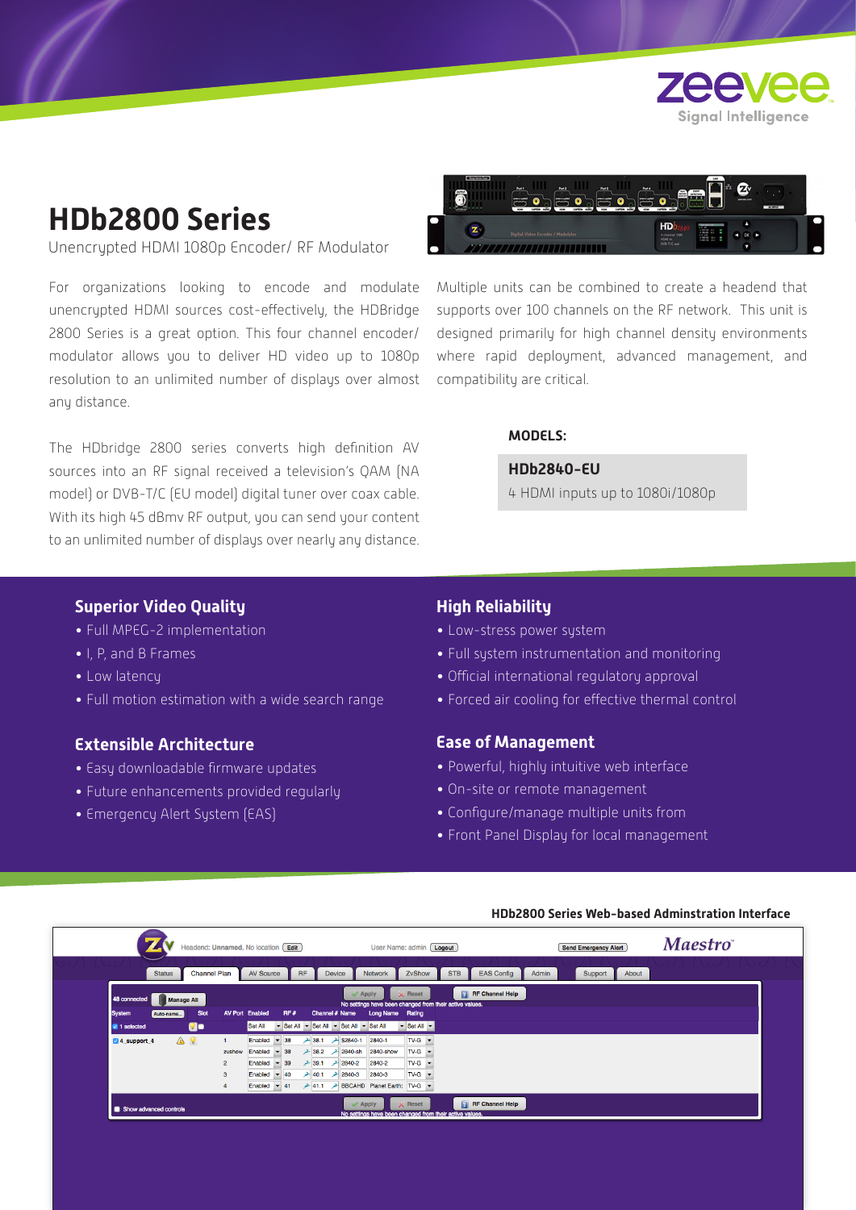

# **HDb2800 Series**

Unencrypted HDMI 1080p Encoder/ RF Modulator

For organizations looking to encode and modulate unencrypted HDMI sources cost-effectively, the HDBridge 2800 Series is a great option. This four channel encoder/ modulator allows you to deliver HD video up to 1080p resolution to an unlimited number of displays over almost any distance.

The HDbridge 2800 series converts high definition AV sources into an RF signal received a television's QAM (NA model) or DVB-T/C (EU model) digital tuner over coax cable. With its high 45 dBmv RF output, you can send your content to an unlimited number of displays over nearly any distance.



Multiple units can be combined to create a headend that supports over 100 channels on the RF network. This unit is designed primarily for high channel density environments where rapid deployment, advanced management, and compatibility are critical.

## **MODELS:**

**HDb2840-EU**

4 HDMI inputs up to 1080i/1080p

## **Superior Video Quality**

- Full MPEG-2 implementation
- I, P, and B Frames
- Low latency
- Full motion estimation with a wide search range

# **Extensible Architecture**

- Easy downloadable firmware updates
- Future enhancements provided regularly
- Emergency Alert System (EAS)

# **High Reliability**

- Low-stress power system
- Full system instrumentation and monitoring
- Official international regulatory approval
- Forced air cooling for effective thermal control

#### **Ease of Management**

- Powerful, highly intuitive web interface
- On-site or remote management
- Configure/manage multiple units from
- Front Panel Display for local management

#### **HDb2800 Series Web-based Adminstration Interface**

|                                          | Headend: Unnamed, No location Edit |                                   |                                                  |                |             |                |                                          | User Name: admin [ Logout]                              |                                                     |            |                        |       | <b>Send Emergency Alert</b> |       | <b>Maestro</b> |  |
|------------------------------------------|------------------------------------|-----------------------------------|--------------------------------------------------|----------------|-------------|----------------|------------------------------------------|---------------------------------------------------------|-----------------------------------------------------|------------|------------------------|-------|-----------------------------|-------|----------------|--|
| <b>Status</b>                            | <b>Channel Plan</b>                |                                   | <b>AV Source</b>                                 |                | <b>RF</b>   | Device         |                                          | <b>Network</b>                                          | ZvShow                                              | <b>STB</b> | <b>EAS Config</b>      | Admin | Support                     | About |                |  |
| 48 connected<br><b>Manage All</b>        |                                    |                                   |                                                  |                |             |                | $\mathcal$ Apply                         | No settings have been changed from their active values. | $\times$ Reset                                      |            | <b>RF</b> Channel Help |       |                             |       |                |  |
| <b>System</b><br>Auto-name<br>1 selected | Slot<br><b>Qo</b>                  | <b>AV Port Enabled</b><br>Set All |                                                  | RF#            |             | Channel # Name | Set All - Set All - Set All - Set All    | Long Name Rating                                        | $\blacktriangleright$ Set All $\blacktriangleright$ |            |                        |       |                             |       |                |  |
| ▲ ?<br>4 support 4                       |                                    | zvshow                            | Enabled<br>Enabled                               | $-38$<br>$-38$ | 28.1        |                | <b>A \$2840-1</b><br>$-38.2$ $-2840$ -sh | 2840-1<br>2840-show                                     | $TV-G$ $\rightarrow$<br>$TV-G$ $\rightarrow$        |            |                        |       |                             |       |                |  |
|                                          | $\overline{2}$<br>з                |                                   | Enabled $\overline{9}$ 39<br>Enabled $\sqrt{40}$ |                | $\geq$ 40.1 |                | $-39.1$ $-2840-2$<br>$2840-3$            | 2840-2<br>2840-3                                        | $TV-G$ $\rightarrow$<br>$TV-G$                      |            |                        |       |                             |       |                |  |
|                                          |                                    |                                   | Enabled $\blacktriangledown$ 41                  |                |             |                | $\mathcal$ Apply                         | → 41.1 → BBCAHD Planet Earth: TV-G ▼                    | $\times$ Reset                                      |            | <b>RF</b> Channel Help |       |                             |       |                |  |
| Show advanced controls                   |                                    |                                   |                                                  |                |             |                |                                          | No settings have been changed from their active values. |                                                     |            |                        |       |                             |       |                |  |